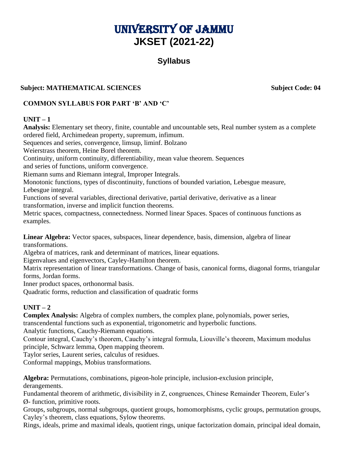# UNIVERSITY OF JAMMU **JKSET (2021-22)**

## **Syllabus**

## **Subject: MATHEMATICAL SCIENCES Subject Code: 04**

## **COMMON SYLLABUS FOR PART 'B' AND 'C'**

#### **UNIT – 1**

**Analysis:** Elementary set theory, finite, countable and uncountable sets, Real number system as a complete ordered field, Archimedean property, supremum, infimum. Sequences and series, convergence, limsup, liminf. Bolzano Weierstrass theorem, Heine Borel theorem. Continuity, uniform continuity, differentiability, mean value theorem. Sequences and series of functions, uniform convergence. Riemann sums and Riemann integral, Improper Integrals. Monotonic functions, types of discontinuity, functions of bounded variation, Lebesgue measure, Lebesgue integral. Functions of several variables, directional derivative, partial derivative, derivative as a linear transformation, inverse and implicit function theorems. Metric spaces, compactness, connectedness. Normed linear Spaces. Spaces of continuous functions as examples.

**Linear Algebra:** Vector spaces, subspaces, linear dependence, basis, dimension, algebra of linear transformations.

Algebra of matrices, rank and determinant of matrices, linear equations.

Eigenvalues and eigenvectors, Cayley-Hamilton theorem.

Matrix representation of linear transformations. Change of basis, canonical forms, diagonal forms, triangular forms, Jordan forms.

Inner product spaces, orthonormal basis.

Quadratic forms, reduction and classification of quadratic forms

## $UNIT - 2$

**Complex Analysis:** Algebra of complex numbers, the complex plane, polynomials, power series,

transcendental functions such as exponential, trigonometric and hyperbolic functions.

Analytic functions, Cauchy-Riemann equations.

Contour integral, Cauchy's theorem, Cauchy's integral formula, Liouville's theorem, Maximum modulus principle, Schwarz lemma, Open mapping theorem.

Taylor series, Laurent series, calculus of residues.

Conformal mappings, Mobius transformations.

**Algebra:** Permutations, combinations, pigeon-hole principle, inclusion-exclusion principle, derangements.

Fundamental theorem of arithmetic, divisibility in Z, congruences, Chinese Remainder Theorem, Euler's Ø- function, primitive roots.

Groups, subgroups, normal subgroups, quotient groups, homomorphisms, cyclic groups, permutation groups, Cayley's theorem, class equations, Sylow theorems.

Rings, ideals, prime and maximal ideals, quotient rings, unique factorization domain, principal ideal domain,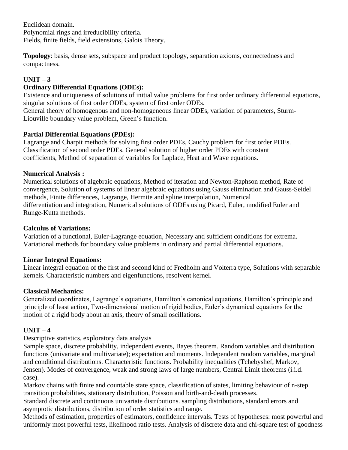Euclidean domain. Polynomial rings and irreducibility criteria. Fields, finite fields, field extensions, Galois Theory.

**Topology**: basis, dense sets, subspace and product topology, separation axioms, connectedness and compactness.

## $UNIT - 3$

## **Ordinary Differential Equations (ODEs):**

Existence and uniqueness of solutions of initial value problems for first order ordinary differential equations, singular solutions of first order ODEs, system of first order ODEs.

General theory of homogenous and non-homogeneous linear ODEs, variation of parameters, Sturm-Liouville boundary value problem, Green's function.

## **Partial Differential Equations (PDEs):**

Lagrange and Charpit methods for solving first order PDEs, Cauchy problem for first order PDEs. Classification of second order PDEs, General solution of higher order PDEs with constant coefficients, Method of separation of variables for Laplace, Heat and Wave equations.

## **Numerical Analysis :**

Numerical solutions of algebraic equations, Method of iteration and Newton-Raphson method, Rate of convergence, Solution of systems of linear algebraic equations using Gauss elimination and Gauss-Seidel methods, Finite differences, Lagrange, Hermite and spline interpolation, Numerical differentiation and integration, Numerical solutions of ODEs using Picard, Euler, modified Euler and Runge-Kutta methods.

## **Calculus of Variations:**

Variation of a functional, Euler-Lagrange equation, Necessary and sufficient conditions for extrema. Variational methods for boundary value problems in ordinary and partial differential equations.

## **Linear Integral Equations:**

Linear integral equation of the first and second kind of Fredholm and Volterra type, Solutions with separable kernels. Characteristic numbers and eigenfunctions, resolvent kernel.

#### **Classical Mechanics:**

Generalized coordinates, Lagrange's equations, Hamilton's canonical equations, Hamilton's principle and principle of least action, Two-dimensional motion of rigid bodies, Euler's dynamical equations for the motion of a rigid body about an axis, theory of small oscillations.

## $UNIT - 4$

Descriptive statistics, exploratory data analysis

Sample space, discrete probability, independent events, Bayes theorem. Random variables and distribution functions (univariate and multivariate); expectation and moments. Independent random variables, marginal and conditional distributions. Characteristic functions. Probability inequalities (Tchebyshef, Markov, Jensen). Modes of convergence, weak and strong laws of large numbers, Central Limit theorems (i.i.d. case).

Markov chains with finite and countable state space, classification of states, limiting behaviour of n-step transition probabilities, stationary distribution, Poisson and birth-and-death processes.

Standard discrete and continuous univariate distributions. sampling distributions, standard errors and asymptotic distributions, distribution of order statistics and range.

Methods of estimation, properties of estimators, confidence intervals. Tests of hypotheses: most powerful and uniformly most powerful tests, likelihood ratio tests. Analysis of discrete data and chi-square test of goodness